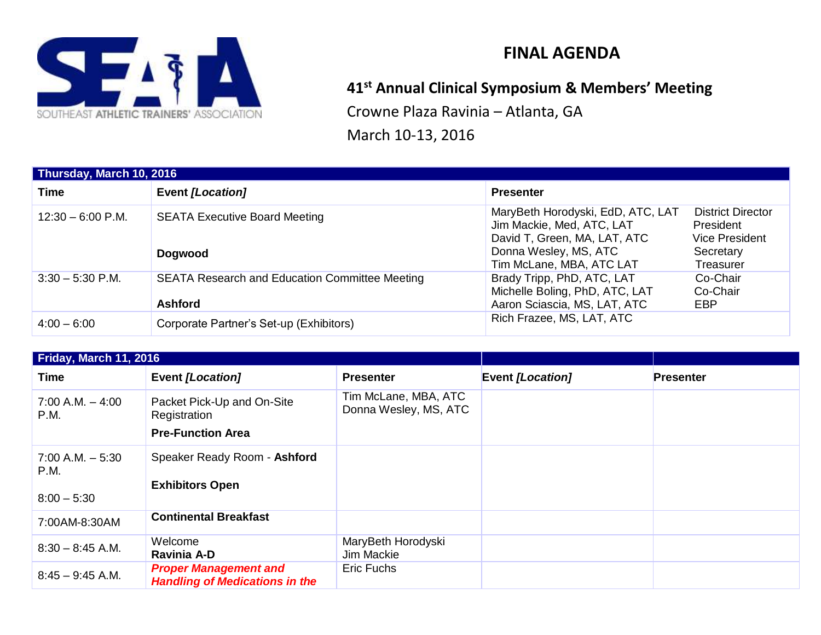

# **FINAL AGENDA**

# **41st Annual Clinical Symposium & Members' Meeting**

Crowne Plaza Ravinia – Atlanta, GA

March 10-13, 2016

| Thursday, March 10, 2016 |                                                                         |                                                                                                                                                                                                                                                 |  |  |
|--------------------------|-------------------------------------------------------------------------|-------------------------------------------------------------------------------------------------------------------------------------------------------------------------------------------------------------------------------------------------|--|--|
| <b>Time</b>              | Event [Location]                                                        | <b>Presenter</b>                                                                                                                                                                                                                                |  |  |
| $12:30 - 6:00$ P.M.      | <b>SEATA Executive Board Meeting</b><br><b>Dogwood</b>                  | MaryBeth Horodyski, EdD, ATC, LAT<br><b>District Director</b><br>Jim Mackie, Med, ATC, LAT<br>President<br><b>Vice President</b><br>David T, Green, MA, LAT, ATC<br>Donna Wesley, MS, ATC<br>Secretary<br>Tim McLane, MBA, ATC LAT<br>Treasurer |  |  |
| $3:30 - 5:30$ P.M.       | <b>SEATA Research and Education Committee Meeting</b><br><b>Ashford</b> | Brady Tripp, PhD, ATC, LAT<br>Co-Chair<br>Michelle Boling, PhD, ATC, LAT<br>Co-Chair<br>Aaron Sciascia, MS, LAT, ATC<br>EBP                                                                                                                     |  |  |
| $4:00 - 6:00$            | Corporate Partner's Set-up (Exhibitors)                                 | Rich Frazee, MS, LAT, ATC                                                                                                                                                                                                                       |  |  |

| Friday, March 11, 2016                       |                                                                        |                                               |                  |                  |
|----------------------------------------------|------------------------------------------------------------------------|-----------------------------------------------|------------------|------------------|
| Time                                         | <b>Event [Location]</b>                                                | <b>Presenter</b>                              | Event [Location] | <b>Presenter</b> |
| $7:00$ A.M. $-4:00$<br>P.M.                  | Packet Pick-Up and On-Site<br>Registration<br><b>Pre-Function Area</b> | Tim McLane, MBA, ATC<br>Donna Wesley, MS, ATC |                  |                  |
| $7:00$ A.M. $-5:30$<br>P.M.<br>$8:00 - 5:30$ | Speaker Ready Room - Ashford<br><b>Exhibitors Open</b>                 |                                               |                  |                  |
| 7:00AM-8:30AM                                | <b>Continental Breakfast</b>                                           |                                               |                  |                  |
| $8:30 - 8:45$ A.M.                           | Welcome<br>Ravinia A-D                                                 | MaryBeth Horodyski<br>Jim Mackie              |                  |                  |
| $8:45 - 9:45$ A.M.                           | <b>Proper Management and</b><br><b>Handling of Medications in the</b>  | Eric Fuchs                                    |                  |                  |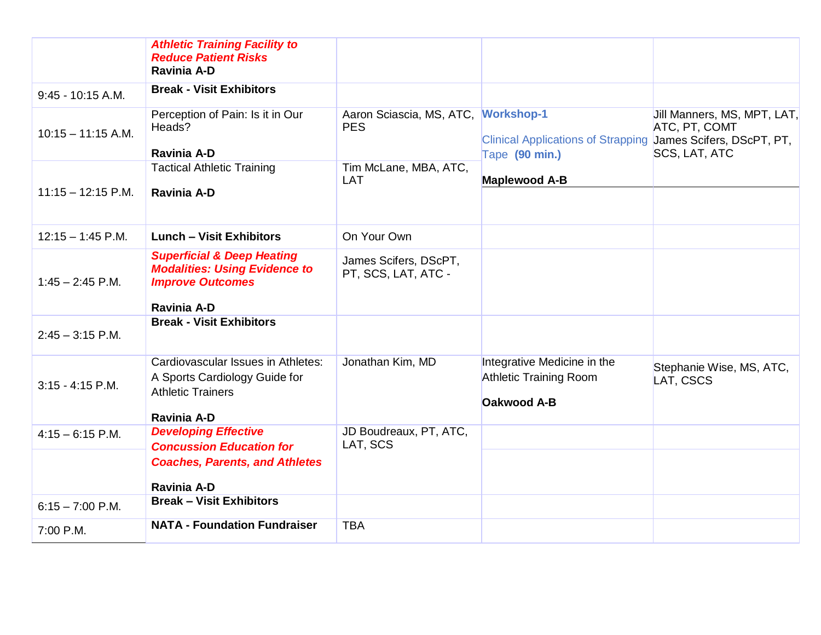|                      | <b>Athletic Training Facility to</b><br><b>Reduce Patient Risks</b><br><b>Ravinia A-D</b>                                      |                                                   |                                                                                    |                                                               |
|----------------------|--------------------------------------------------------------------------------------------------------------------------------|---------------------------------------------------|------------------------------------------------------------------------------------|---------------------------------------------------------------|
| $9:45 - 10:15 A.M.$  | <b>Break - Visit Exhibitors</b>                                                                                                |                                                   |                                                                                    |                                                               |
| $10:15 - 11:15$ A.M. | Perception of Pain: Is it in Our<br>Heads?<br>Ravinia A-D                                                                      | Aaron Sciascia, MS, ATC, Workshop-1<br><b>PES</b> | Clinical Applications of Strapping James Scifers, DScPT, PT,<br>Tape (90 min.)     | Jill Manners, MS, MPT, LAT,<br>ATC, PT, COMT<br>SCS, LAT, ATC |
|                      | <b>Tactical Athletic Training</b>                                                                                              | Tim McLane, MBA, ATC,<br><b>LAT</b>               | <b>Maplewood A-B</b>                                                               |                                                               |
| $11:15 - 12:15$ P.M. | <b>Ravinia A-D</b>                                                                                                             |                                                   |                                                                                    |                                                               |
| $12:15 - 1:45$ P.M.  | <b>Lunch - Visit Exhibitors</b>                                                                                                | On Your Own                                       |                                                                                    |                                                               |
| $1:45 - 2:45$ P.M.   | <b>Superficial &amp; Deep Heating</b><br><b>Modalities: Using Evidence to</b><br><b>Improve Outcomes</b><br><b>Ravinia A-D</b> | James Scifers, DScPT,<br>PT, SCS, LAT, ATC -      |                                                                                    |                                                               |
| $2:45 - 3:15$ P.M.   | <b>Break - Visit Exhibitors</b>                                                                                                |                                                   |                                                                                    |                                                               |
| $3:15 - 4:15$ P.M.   | Cardiovascular Issues in Athletes:<br>A Sports Cardiology Guide for<br><b>Athletic Trainers</b><br><b>Ravinia A-D</b>          | Jonathan Kim, MD                                  | Integrative Medicine in the<br><b>Athletic Training Room</b><br><b>Oakwood A-B</b> | Stephanie Wise, MS, ATC,<br>LAT, CSCS                         |
| $4:15 - 6:15$ P.M.   | <b>Developing Effective</b><br><b>Concussion Education for</b>                                                                 | JD Boudreaux, PT, ATC,<br>LAT, SCS                |                                                                                    |                                                               |
|                      | <b>Coaches, Parents, and Athletes</b><br><b>Ravinia A-D</b>                                                                    |                                                   |                                                                                    |                                                               |
| $6:15 - 7:00$ P.M.   | <b>Break - Visit Exhibitors</b>                                                                                                |                                                   |                                                                                    |                                                               |
| 7:00 P.M.            | <b>NATA - Foundation Fundraiser</b>                                                                                            | <b>TBA</b>                                        |                                                                                    |                                                               |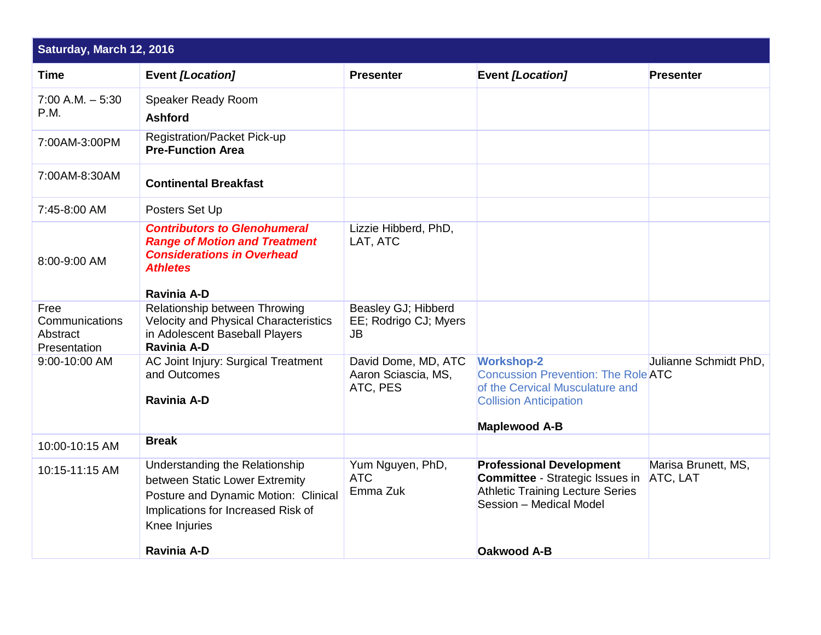| Saturday, March 12, 2016                           |                                                                                                                                                                 |                                                           |                                                                                                                                                             |                                 |
|----------------------------------------------------|-----------------------------------------------------------------------------------------------------------------------------------------------------------------|-----------------------------------------------------------|-------------------------------------------------------------------------------------------------------------------------------------------------------------|---------------------------------|
| <b>Time</b>                                        | <b>Event [Location]</b>                                                                                                                                         | <b>Presenter</b>                                          | Event [Location]                                                                                                                                            | <b>Presenter</b>                |
| $7:00$ A.M. $-5:30$<br><b>P.M.</b>                 | Speaker Ready Room<br><b>Ashford</b>                                                                                                                            |                                                           |                                                                                                                                                             |                                 |
| 7:00AM-3:00PM                                      | <b>Registration/Packet Pick-up</b><br><b>Pre-Function Area</b>                                                                                                  |                                                           |                                                                                                                                                             |                                 |
| 7:00AM-8:30AM                                      | <b>Continental Breakfast</b>                                                                                                                                    |                                                           |                                                                                                                                                             |                                 |
| 7:45-8:00 AM                                       | Posters Set Up                                                                                                                                                  |                                                           |                                                                                                                                                             |                                 |
| 8:00-9:00 AM                                       | <b>Contributors to Glenohumeral</b><br><b>Range of Motion and Treatment</b><br><b>Considerations in Overhead</b><br><b>Athletes</b><br><b>Ravinia A-D</b>       | Lizzie Hibberd, PhD,<br>LAT, ATC                          |                                                                                                                                                             |                                 |
| Free<br>Communications<br>Abstract<br>Presentation | Relationship between Throwing<br><b>Velocity and Physical Characteristics</b><br>in Adolescent Baseball Players<br><b>Ravinia A-D</b>                           | Beasley GJ; Hibberd<br>EE; Rodrigo CJ; Myers<br><b>JB</b> |                                                                                                                                                             |                                 |
| 9:00-10:00 AM                                      | AC Joint Injury: Surgical Treatment<br>and Outcomes<br><b>Ravinia A-D</b>                                                                                       | David Dome, MD, ATC<br>Aaron Sciascia, MS,<br>ATC, PES    | <b>Workshop-2</b><br><b>Concussion Prevention: The Role ATC</b><br>of the Cervical Musculature and<br><b>Collision Anticipation</b><br><b>Maplewood A-B</b> | Julianne Schmidt PhD,           |
| 10:00-10:15 AM                                     | <b>Break</b>                                                                                                                                                    |                                                           |                                                                                                                                                             |                                 |
| 10:15-11:15 AM                                     | Understanding the Relationship<br>between Static Lower Extremity<br>Posture and Dynamic Motion: Clinical<br>Implications for Increased Risk of<br>Knee Injuries | Yum Nguyen, PhD,<br><b>ATC</b><br>Emma Zuk                | <b>Professional Development</b><br><b>Committee - Strategic Issues in</b><br><b>Athletic Training Lecture Series</b><br>Session - Medical Model             | Marisa Brunett, MS,<br>ATC, LAT |
|                                                    | <b>Ravinia A-D</b>                                                                                                                                              |                                                           | <b>Oakwood A-B</b>                                                                                                                                          |                                 |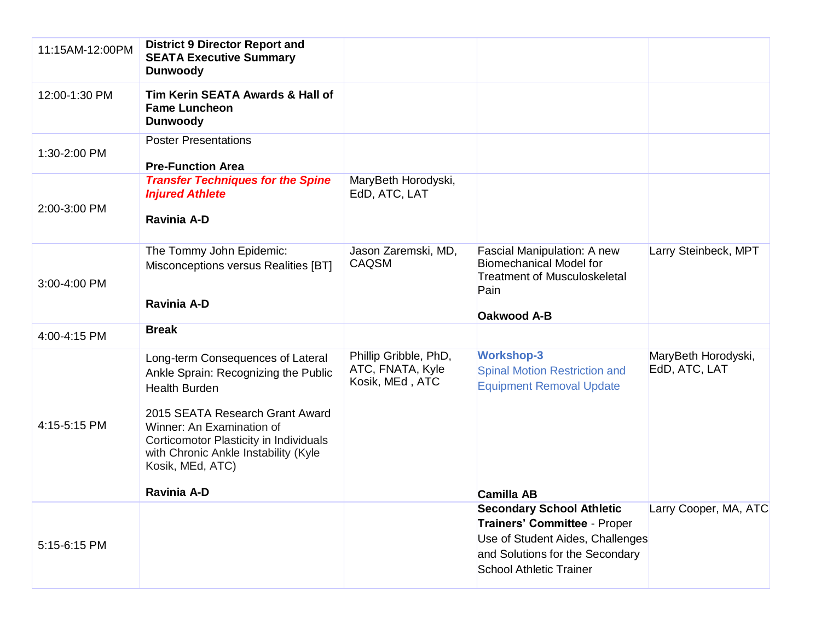| 11:15AM-12:00PM | <b>District 9 Director Report and</b><br><b>SEATA Executive Summary</b><br><b>Dunwoody</b>                                                                                                                                                                              |                                                              |                                                                                                                                       |                                      |
|-----------------|-------------------------------------------------------------------------------------------------------------------------------------------------------------------------------------------------------------------------------------------------------------------------|--------------------------------------------------------------|---------------------------------------------------------------------------------------------------------------------------------------|--------------------------------------|
| 12:00-1:30 PM   | Tim Kerin SEATA Awards & Hall of<br><b>Fame Luncheon</b><br><b>Dunwoody</b>                                                                                                                                                                                             |                                                              |                                                                                                                                       |                                      |
| 1:30-2:00 PM    | <b>Poster Presentations</b><br><b>Pre-Function Area</b>                                                                                                                                                                                                                 |                                                              |                                                                                                                                       |                                      |
| 2:00-3:00 PM    | <b>Transfer Techniques for the Spine</b><br><b>Injured Athlete</b><br>Ravinia A-D                                                                                                                                                                                       | MaryBeth Horodyski,<br>EdD, ATC, LAT                         |                                                                                                                                       |                                      |
| 3:00-4:00 PM    | The Tommy John Epidemic:<br>Misconceptions versus Realities [BT]<br><b>Ravinia A-D</b>                                                                                                                                                                                  | Jason Zaremski, MD,<br>CAQSM                                 | Fascial Manipulation: A new<br><b>Biomechanical Model for</b><br><b>Treatment of Musculoskeletal</b><br>Pain<br><b>Oakwood A-B</b>    | Larry Steinbeck, MPT                 |
| 4:00-4:15 PM    | <b>Break</b>                                                                                                                                                                                                                                                            |                                                              |                                                                                                                                       |                                      |
| 4:15-5:15 PM    | Long-term Consequences of Lateral<br>Ankle Sprain: Recognizing the Public<br><b>Health Burden</b><br>2015 SEATA Research Grant Award<br>Winner: An Examination of<br>Corticomotor Plasticity in Individuals<br>with Chronic Ankle Instability (Kyle<br>Kosik, MEd, ATC) | Phillip Gribble, PhD,<br>ATC, FNATA, Kyle<br>Kosik, MEd, ATC | <b>Workshop-3</b><br><b>Spinal Motion Restriction and</b><br><b>Equipment Removal Update</b>                                          | MaryBeth Horodyski,<br>EdD, ATC, LAT |
|                 | <b>Ravinia A-D</b>                                                                                                                                                                                                                                                      |                                                              | <b>Camilla AB</b><br><b>Secondary School Athletic</b>                                                                                 | Larry Cooper, MA, ATC                |
| 5:15-6:15 PM    |                                                                                                                                                                                                                                                                         |                                                              | Trainers' Committee - Proper<br>Use of Student Aides, Challenges<br>and Solutions for the Secondary<br><b>School Athletic Trainer</b> |                                      |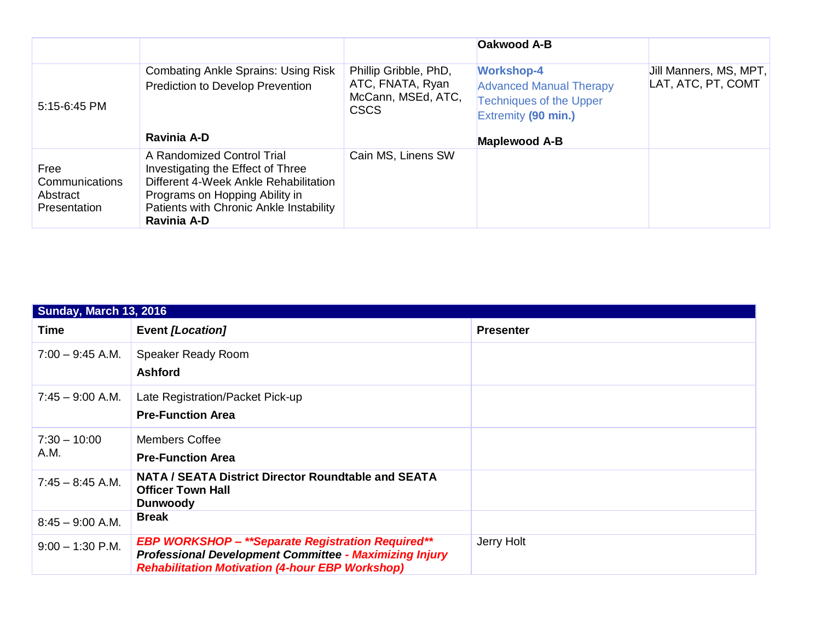|                                                           |                                                                                                                                                                                                             |                                                                                | <b>Oakwood A-B</b>                                                                                           |                                              |
|-----------------------------------------------------------|-------------------------------------------------------------------------------------------------------------------------------------------------------------------------------------------------------------|--------------------------------------------------------------------------------|--------------------------------------------------------------------------------------------------------------|----------------------------------------------|
| 5:15-6:45 PM                                              | <b>Combating Ankle Sprains: Using Risk</b><br>Prediction to Develop Prevention                                                                                                                              | Phillip Gribble, PhD,<br>ATC, FNATA, Ryan<br>McCann, MSEd, ATC,<br><b>CSCS</b> | <b>Workshop-4</b><br><b>Advanced Manual Therapy</b><br><b>Techniques of the Upper</b><br>Extremity (90 min.) | Jill Manners, MS, MPT,<br>LAT, ATC, PT, COMT |
|                                                           | Ravinia A-D                                                                                                                                                                                                 |                                                                                | <b>Maplewood A-B</b>                                                                                         |                                              |
| Free<br>Communications<br>Abstract<br><b>Presentation</b> | A Randomized Control Trial<br>Investigating the Effect of Three<br>Different 4-Week Ankle Rehabilitation<br>Programs on Hopping Ability in<br>Patients with Chronic Ankle Instability<br><b>Ravinia A-D</b> | Cain MS, Linens SW                                                             |                                                                                                              |                                              |

| <b>Sunday, March 13, 2016</b> |                                                                                                                                                                                     |                  |  |
|-------------------------------|-------------------------------------------------------------------------------------------------------------------------------------------------------------------------------------|------------------|--|
| Time                          | <b>Event [Location]</b>                                                                                                                                                             | <b>Presenter</b> |  |
| $7:00 - 9:45$ A.M.            | Speaker Ready Room<br><b>Ashford</b>                                                                                                                                                |                  |  |
| $7:45 - 9:00$ A.M.            | Late Registration/Packet Pick-up<br><b>Pre-Function Area</b>                                                                                                                        |                  |  |
| $7:30 - 10:00$<br>A.M.        | <b>Members Coffee</b><br><b>Pre-Function Area</b>                                                                                                                                   |                  |  |
| $7:45 - 8:45$ A.M.            | <b>NATA / SEATA District Director Roundtable and SEATA</b><br><b>Officer Town Hall</b><br><b>Dunwoody</b>                                                                           |                  |  |
| $8:45 - 9:00$ A.M.            | <b>Break</b>                                                                                                                                                                        |                  |  |
| $9:00 - 1:30$ P.M.            | <b>EBP WORKSHOP - **Separate Registration Required**</b><br><b>Professional Development Committee - Maximizing Injury</b><br><b>Rehabilitation Motivation (4-hour EBP Workshop)</b> | Jerry Holt       |  |